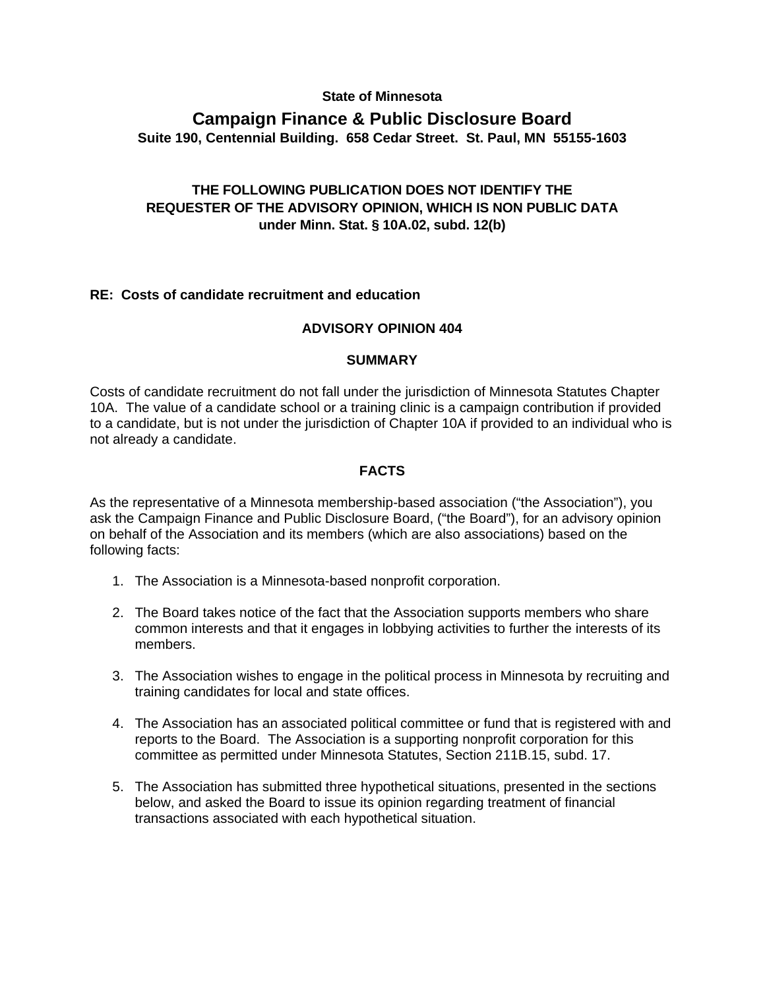#### **State of Minnesota**

# **Campaign Finance & Public Disclosure Board Suite 190, Centennial Building. 658 Cedar Street. St. Paul, MN 55155-1603**

# **THE FOLLOWING PUBLICATION DOES NOT IDENTIFY THE REQUESTER OF THE ADVISORY OPINION, WHICH IS NON PUBLIC DATA under Minn. Stat. § 10A.02, subd. 12(b)**

#### **RE: Costs of candidate recruitment and education**

#### **ADVISORY OPINION 404**

#### **SUMMARY**

Costs of candidate recruitment do not fall under the jurisdiction of Minnesota Statutes Chapter 10A. The value of a candidate school or a training clinic is a campaign contribution if provided to a candidate, but is not under the jurisdiction of Chapter 10A if provided to an individual who is not already a candidate.

#### **FACTS**

As the representative of a Minnesota membership-based association ("the Association"), you ask the Campaign Finance and Public Disclosure Board, ("the Board"), for an advisory opinion on behalf of the Association and its members (which are also associations) based on the following facts:

- 1. The Association is a Minnesota-based nonprofit corporation.
- 2. The Board takes notice of the fact that the Association supports members who share common interests and that it engages in lobbying activities to further the interests of its members.
- 3. The Association wishes to engage in the political process in Minnesota by recruiting and training candidates for local and state offices.
- 4. The Association has an associated political committee or fund that is registered with and reports to the Board. The Association is a supporting nonprofit corporation for this committee as permitted under Minnesota Statutes, Section 211B.15, subd. 17.
- 5. The Association has submitted three hypothetical situations, presented in the sections below, and asked the Board to issue its opinion regarding treatment of financial transactions associated with each hypothetical situation.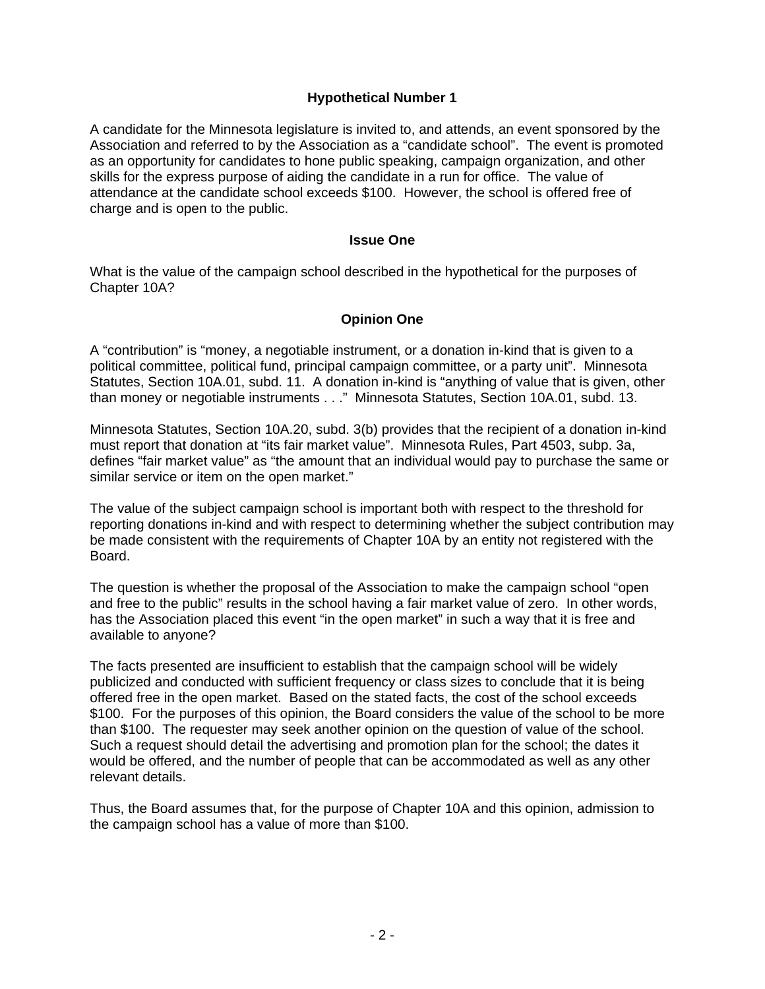# **Hypothetical Number 1**

A candidate for the Minnesota legislature is invited to, and attends, an event sponsored by the Association and referred to by the Association as a "candidate school". The event is promoted as an opportunity for candidates to hone public speaking, campaign organization, and other skills for the express purpose of aiding the candidate in a run for office. The value of attendance at the candidate school exceeds \$100. However, the school is offered free of charge and is open to the public.

# **Issue One**

What is the value of the campaign school described in the hypothetical for the purposes of Chapter 10A?

# **Opinion One**

A "contribution" is "money, a negotiable instrument, or a donation in-kind that is given to a political committee, political fund, principal campaign committee, or a party unit". Minnesota Statutes, Section 10A.01, subd. 11. A donation in-kind is "anything of value that is given, other than money or negotiable instruments . . ." Minnesota Statutes, Section 10A.01, subd. 13.

Minnesota Statutes, Section 10A.20, subd. 3(b) provides that the recipient of a donation in-kind must report that donation at "its fair market value". Minnesota Rules, Part 4503, subp. 3a, defines "fair market value" as "the amount that an individual would pay to purchase the same or similar service or item on the open market."

The value of the subject campaign school is important both with respect to the threshold for reporting donations in-kind and with respect to determining whether the subject contribution may be made consistent with the requirements of Chapter 10A by an entity not registered with the Board.

The question is whether the proposal of the Association to make the campaign school "open and free to the public" results in the school having a fair market value of zero. In other words, has the Association placed this event "in the open market" in such a way that it is free and available to anyone?

The facts presented are insufficient to establish that the campaign school will be widely publicized and conducted with sufficient frequency or class sizes to conclude that it is being offered free in the open market. Based on the stated facts, the cost of the school exceeds \$100. For the purposes of this opinion, the Board considers the value of the school to be more than \$100. The requester may seek another opinion on the question of value of the school. Such a request should detail the advertising and promotion plan for the school; the dates it would be offered, and the number of people that can be accommodated as well as any other relevant details.

Thus, the Board assumes that, for the purpose of Chapter 10A and this opinion, admission to the campaign school has a value of more than \$100.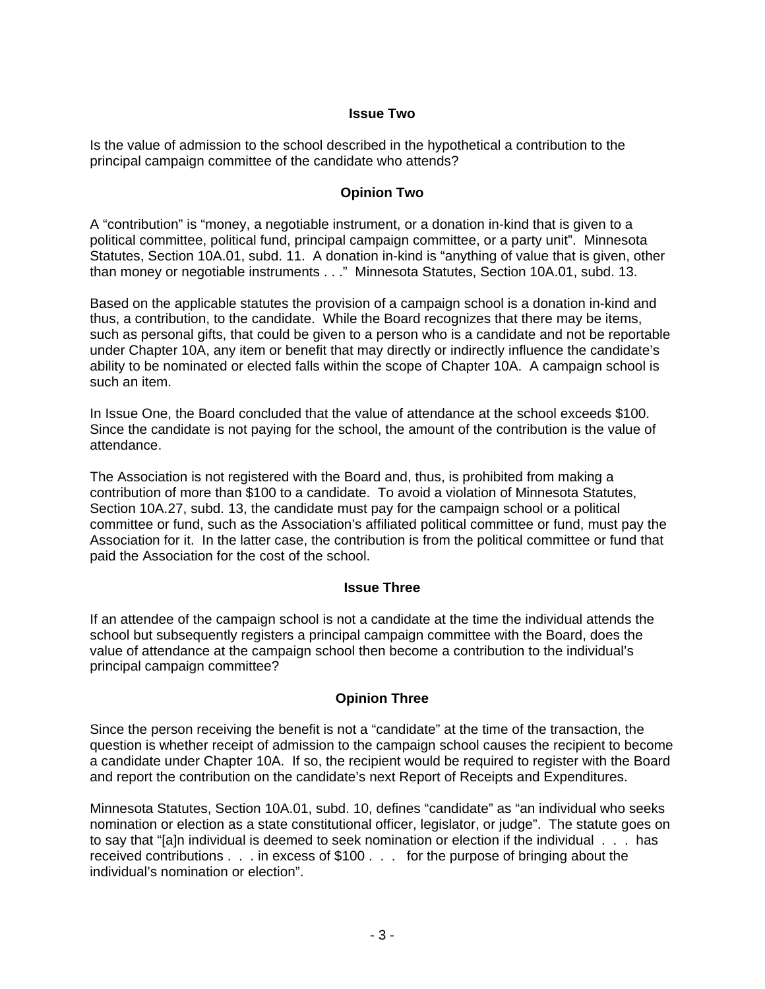# **Issue Two**

Is the value of admission to the school described in the hypothetical a contribution to the principal campaign committee of the candidate who attends?

#### **Opinion Two**

A "contribution" is "money, a negotiable instrument, or a donation in-kind that is given to a political committee, political fund, principal campaign committee, or a party unit". Minnesota Statutes, Section 10A.01, subd. 11. A donation in-kind is "anything of value that is given, other than money or negotiable instruments . . ." Minnesota Statutes, Section 10A.01, subd. 13.

Based on the applicable statutes the provision of a campaign school is a donation in-kind and thus, a contribution, to the candidate. While the Board recognizes that there may be items, such as personal gifts, that could be given to a person who is a candidate and not be reportable under Chapter 10A, any item or benefit that may directly or indirectly influence the candidate's ability to be nominated or elected falls within the scope of Chapter 10A. A campaign school is such an item.

In Issue One, the Board concluded that the value of attendance at the school exceeds \$100. Since the candidate is not paying for the school, the amount of the contribution is the value of attendance.

The Association is not registered with the Board and, thus, is prohibited from making a contribution of more than \$100 to a candidate. To avoid a violation of Minnesota Statutes, Section 10A.27, subd. 13, the candidate must pay for the campaign school or a political committee or fund, such as the Association's affiliated political committee or fund, must pay the Association for it. In the latter case, the contribution is from the political committee or fund that paid the Association for the cost of the school.

#### **Issue Three**

If an attendee of the campaign school is not a candidate at the time the individual attends the school but subsequently registers a principal campaign committee with the Board, does the value of attendance at the campaign school then become a contribution to the individual's principal campaign committee?

# **Opinion Three**

Since the person receiving the benefit is not a "candidate" at the time of the transaction, the question is whether receipt of admission to the campaign school causes the recipient to become a candidate under Chapter 10A. If so, the recipient would be required to register with the Board and report the contribution on the candidate's next Report of Receipts and Expenditures.

Minnesota Statutes, Section 10A.01, subd. 10, defines "candidate" as "an individual who seeks nomination or election as a state constitutional officer, legislator, or judge". The statute goes on to say that "[a]n individual is deemed to seek nomination or election if the individual . . . has received contributions . . . in excess of \$100 . . . for the purpose of bringing about the individual's nomination or election".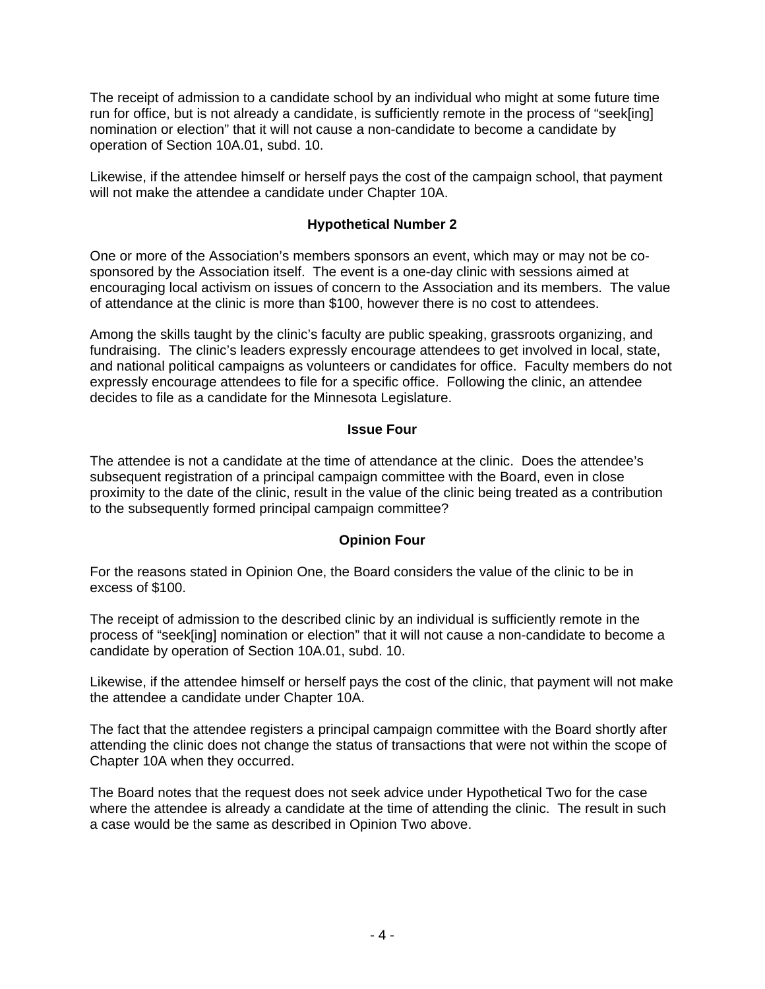The receipt of admission to a candidate school by an individual who might at some future time run for office, but is not already a candidate, is sufficiently remote in the process of "seek[ing] nomination or election" that it will not cause a non-candidate to become a candidate by operation of Section 10A.01, subd. 10.

Likewise, if the attendee himself or herself pays the cost of the campaign school, that payment will not make the attendee a candidate under Chapter 10A.

# **Hypothetical Number 2**

One or more of the Association's members sponsors an event, which may or may not be cosponsored by the Association itself. The event is a one-day clinic with sessions aimed at encouraging local activism on issues of concern to the Association and its members. The value of attendance at the clinic is more than \$100, however there is no cost to attendees.

Among the skills taught by the clinic's faculty are public speaking, grassroots organizing, and fundraising. The clinic's leaders expressly encourage attendees to get involved in local, state, and national political campaigns as volunteers or candidates for office. Faculty members do not expressly encourage attendees to file for a specific office. Following the clinic, an attendee decides to file as a candidate for the Minnesota Legislature.

#### **Issue Four**

The attendee is not a candidate at the time of attendance at the clinic. Does the attendee's subsequent registration of a principal campaign committee with the Board, even in close proximity to the date of the clinic, result in the value of the clinic being treated as a contribution to the subsequently formed principal campaign committee?

# **Opinion Four**

For the reasons stated in Opinion One, the Board considers the value of the clinic to be in excess of \$100.

The receipt of admission to the described clinic by an individual is sufficiently remote in the process of "seek[ing] nomination or election" that it will not cause a non-candidate to become a candidate by operation of Section 10A.01, subd. 10.

Likewise, if the attendee himself or herself pays the cost of the clinic, that payment will not make the attendee a candidate under Chapter 10A.

The fact that the attendee registers a principal campaign committee with the Board shortly after attending the clinic does not change the status of transactions that were not within the scope of Chapter 10A when they occurred.

The Board notes that the request does not seek advice under Hypothetical Two for the case where the attendee is already a candidate at the time of attending the clinic. The result in such a case would be the same as described in Opinion Two above.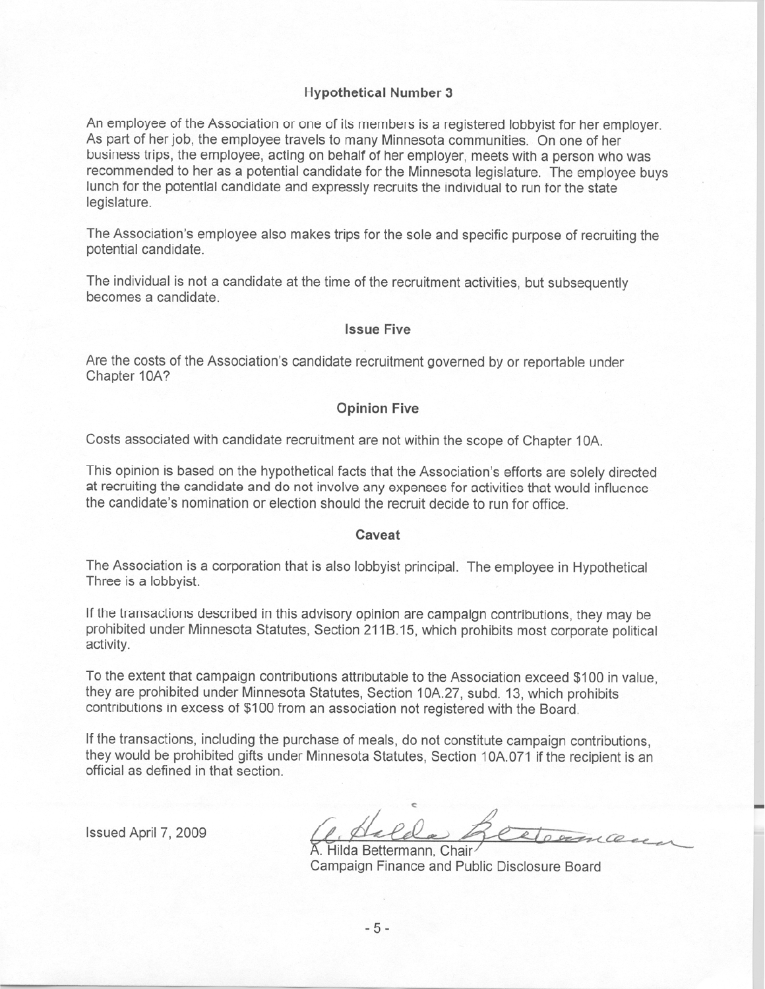#### **Hypothetical Number 3**

An employee of the Association or one of its members is a registered lobbyist for her employer. As part of her job, the employee travels to many Minnesota communities. On one of her business trips, the employee, acting on behalf of her employer, meets with a person who was recommended to her as a potential candidate for the Minnesota legislature. The employee buys lunch for the potential candidate and expressly recruits the individual to run for the state legislature.

The Association's employee also makes trips for the sole and specific purpose of recruiting the potential candidate.

The individual is not a candidate at the time of the recruitment activities, but subsequently becomes a candidate.

#### **Issue Five**

Are the costs of the Association's candidate recruitment governed by or reportable under Chapter 10A?

#### **Opinion Five**

Costs associated with candidate recruitment are not within the scope of Chapter 10A.

This opinion is based on the hypothetical facts that the Association's efforts are solely directed at recruiting the candidate and do not involve any expenses for activities that would influence the candidate's nomination or election should the recruit decide to run for office

#### Caveat

The Association is a corporation that is also lobbyist principal. The employee in Hypothetical Three is a lobbyist.

If the transactions described in this advisory opinion are campaign contributions, they may be prohibited under Minnesota Statutes, Section 211B.15, which prohibits most corporate political activity.

To the extent that campaign contributions attributable to the Association exceed \$100 in value. they are prohibited under Minnesota Statutes, Section 10A.27, subd. 13, which prohibits contributions in excess of \$100 from an association not registered with the Board.

If the transactions, including the purchase of meals, do not constitute campaign contributions, they would be prohibited gifts under Minnesota Statutes, Section 10A.071 if the recipient is an official as defined in that section.

Issued April 7, 2009

A. Hilda Bettermann, Chair Campaign Finance and Public Disclosure Board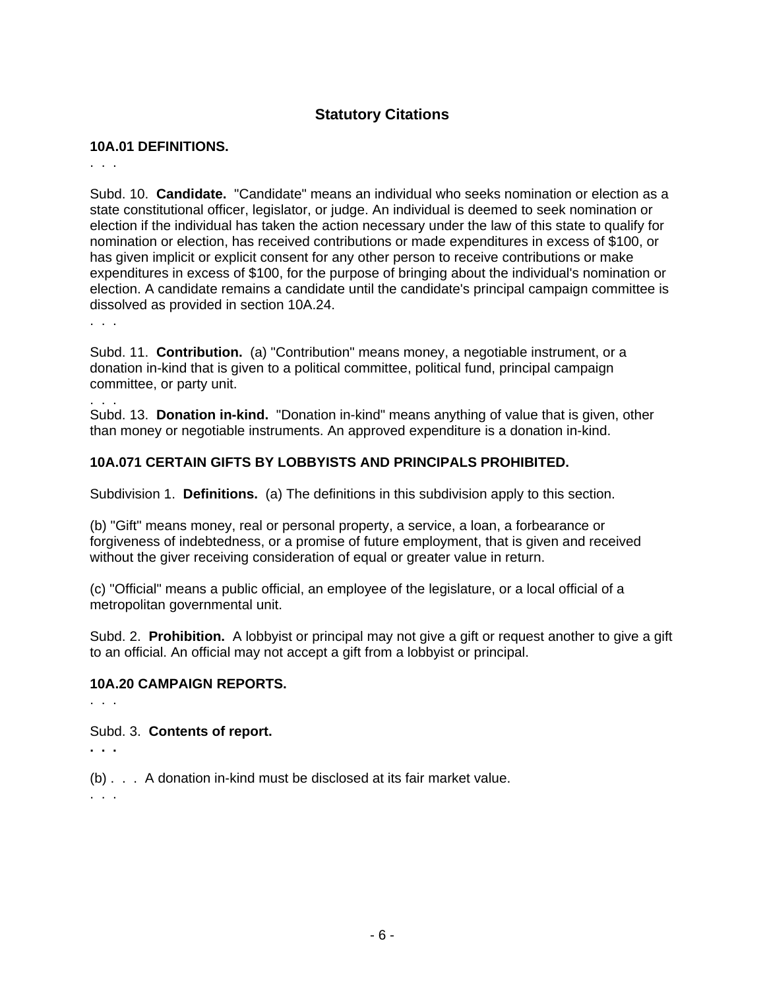# **Statutory Citations**

# **10A.01 DEFINITIONS.**

. . .

Subd. 10. **Candidate.** "Candidate" means an individual who seeks nomination or election as a state constitutional officer, legislator, or judge. An individual is deemed to seek nomination or election if the individual has taken the action necessary under the law of this state to qualify for nomination or election, has received contributions or made expenditures in excess of \$100, or has given implicit or explicit consent for any other person to receive contributions or make expenditures in excess of \$100, for the purpose of bringing about the individual's nomination or election. A candidate remains a candidate until the candidate's principal campaign committee is dissolved as provided in section 10A.24.

. . .

. . .

Subd. 11. **Contribution.** (a) "Contribution" means money, a negotiable instrument, or a donation in-kind that is given to a political committee, political fund, principal campaign committee, or party unit.

Subd. 13. **Donation in-kind.** "Donation in-kind" means anything of value that is given, other than money or negotiable instruments. An approved expenditure is a donation in-kind.

# **10A.071 CERTAIN GIFTS BY LOBBYISTS AND PRINCIPALS PROHIBITED.**

Subdivision 1. **Definitions.** (a) The definitions in this subdivision apply to this section.

(b) "Gift" means money, real or personal property, a service, a loan, a forbearance or forgiveness of indebtedness, or a promise of future employment, that is given and received without the giver receiving consideration of equal or greater value in return.

(c) "Official" means a public official, an employee of the legislature, or a local official of a metropolitan governmental unit.

Subd. 2. **Prohibition.** A lobbyist or principal may not give a gift or request another to give a gift to an official. An official may not accept a gift from a lobbyist or principal.

# **10A.20 CAMPAIGN REPORTS.**

. . .

Subd. 3. **Contents of report.** 

**. . .** 

(b) . . . A donation in-kind must be disclosed at its fair market value.

. . .